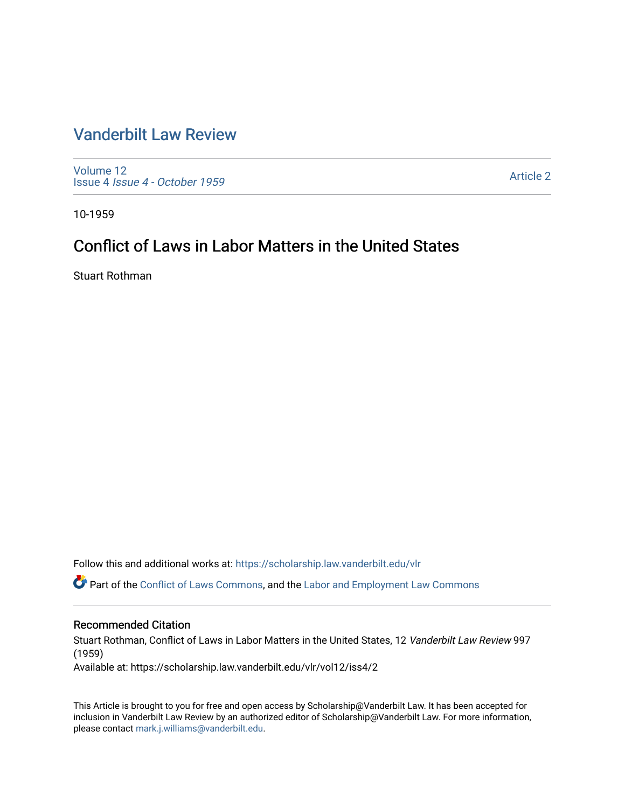# [Vanderbilt Law Review](https://scholarship.law.vanderbilt.edu/vlr)

[Volume 12](https://scholarship.law.vanderbilt.edu/vlr/vol12) Issue 4 [Issue 4 - October 1959](https://scholarship.law.vanderbilt.edu/vlr/vol12/iss4) 

[Article 2](https://scholarship.law.vanderbilt.edu/vlr/vol12/iss4/2) 

10-1959

# Conflict of Laws in Labor Matters in the United States

Stuart Rothman

Follow this and additional works at: [https://scholarship.law.vanderbilt.edu/vlr](https://scholarship.law.vanderbilt.edu/vlr?utm_source=scholarship.law.vanderbilt.edu%2Fvlr%2Fvol12%2Fiss4%2F2&utm_medium=PDF&utm_campaign=PDFCoverPages)

Part of the [Conflict of Laws Commons,](http://network.bepress.com/hgg/discipline/588?utm_source=scholarship.law.vanderbilt.edu%2Fvlr%2Fvol12%2Fiss4%2F2&utm_medium=PDF&utm_campaign=PDFCoverPages) and the [Labor and Employment Law Commons](http://network.bepress.com/hgg/discipline/909?utm_source=scholarship.law.vanderbilt.edu%2Fvlr%2Fvol12%2Fiss4%2F2&utm_medium=PDF&utm_campaign=PDFCoverPages) 

# Recommended Citation

Stuart Rothman, Conflict of Laws in Labor Matters in the United States, 12 Vanderbilt Law Review 997 (1959)

Available at: https://scholarship.law.vanderbilt.edu/vlr/vol12/iss4/2

This Article is brought to you for free and open access by Scholarship@Vanderbilt Law. It has been accepted for inclusion in Vanderbilt Law Review by an authorized editor of Scholarship@Vanderbilt Law. For more information, please contact [mark.j.williams@vanderbilt.edu.](mailto:mark.j.williams@vanderbilt.edu)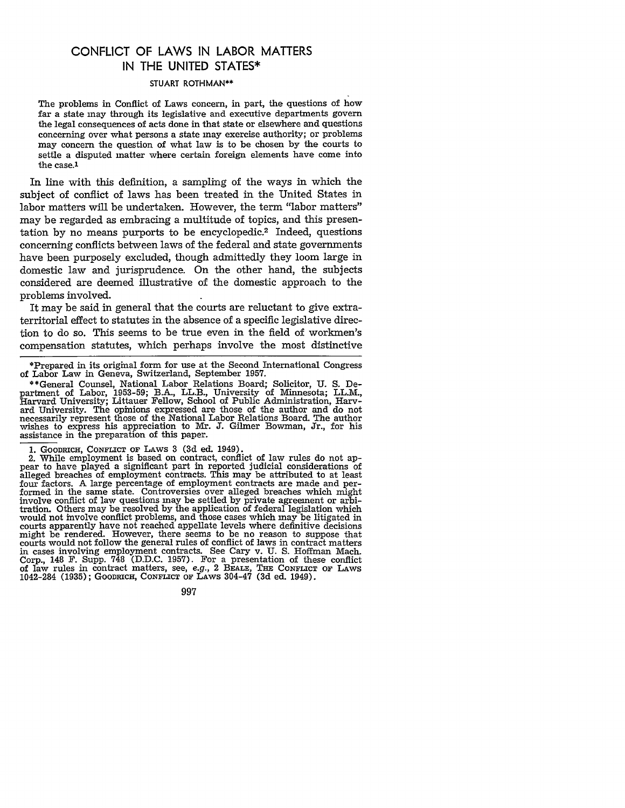# **CONFLICT** OF LAWS **IN** LABOR MATTERS **IN** THE **UNITED STATES\***

#### STUART ROTHMAN\*\*

The problems in Conflict of Laws concern, in part, the questions of how far a state may through its legislative and executive departments govern the legal consequences of acts done in that state or elsewhere and questions concerning over what persons a state may exercise authority; or problems may concern the question of what law is to be chosen by the courts to settle a disputed matter where certain foreign elements have come into the case.1

In line with this definition, a sampling of the ways in which the subject of conflict of laws has been treated in the United States in labor matters will be undertaken. However, the term "labor matters" may be regarded as embracing a multitude of topics, and this presentation by no means purports to be encyclopedic.2 Indeed, questions concerning conflicts between laws of the federal and state governments have been purposely excluded, though admittedly they loom large in domestic law and jurisprudence. On the other hand, the subjects considered are deemed illustrative of the domestic approach to the problems involved.

It may be said in general that the courts are reluctant to give extraterritorial effect to statutes in the absence of a specific legislative direction to do so. This seems to be true even in the field of workmen's compensation statutes, which perhaps involve the most distinctive

997

<sup>\*</sup>Prepared in its original form for use at the Second International Congress of Labor Law in Geneva, Switzerland, September 1957.

<sup>\*\*</sup>General Counsel, National Labor Relations Board; Solicitor, U. S. Department of Labor, 1953-59; B.A., LL.B., University of Minnesota; LL.M., Harvard University; Littauer Fellow, School of Public Administration, Harvand University. The opinions expressed are those of the author and do not necessarily represent those of the National Labor Relations Board. The author wishes to express his appreciation to Mr. J. Gilmer Bowman, Jr., for h

<sup>1.</sup> GOODRICH, **CONFLICT OF LAWS** 3 **(3d** ed. 1949).

<sup>2.</sup> While employment is based on contract, conflict of law rules do not appear to have played a significant part in reported judicial considerations of alleged breaches of employment contracts. This may be attributed to at least four factors. A large percentage of employment contracts are made and performed in the same state. Controversies over alleged breaches which might involve conflict of law questions may be settled by private agreement or arbitration. Others may be resolved by the application of federal legislation which would not involve conflict problems, and those cases which may be litigated in courts apparently have not reached appellate levels where definitive decisions might be rendered. However, there seems to be no reason to suppose that courts would not follow the general rules of conflict of laws in contract matters in cases involving employment contracts. See Cary v. U. S. Hoffman Mach. Corp., 148 F. Supp. **748** (D.D.C. 1957). For a presentation of these conflict of law rules in contract matters, see, e.g., 2 BEALE, **THE CONFLICT OF LAWS** 1042-284 (1935); GOODRICH, CONFLICT **OF** LAws 304-47 **(3d** ed. 1949).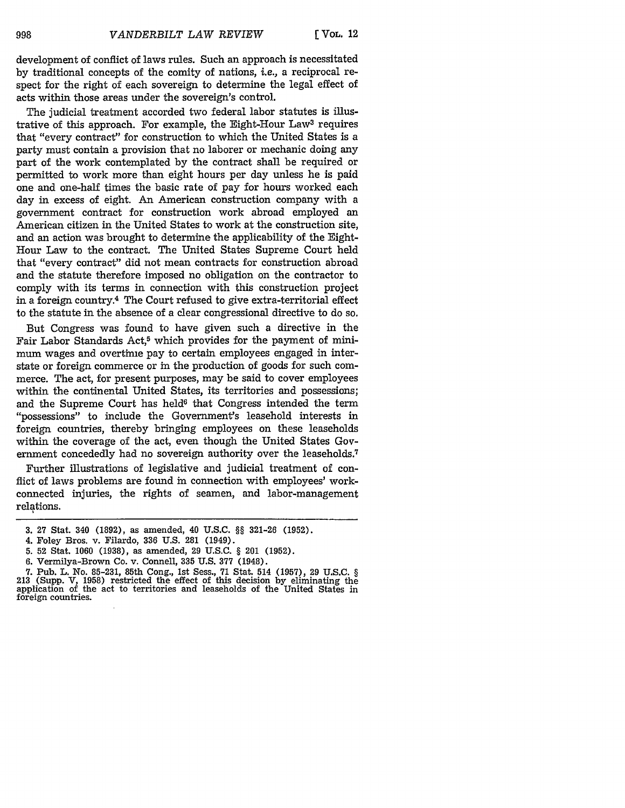development of conflict of laws rules. Such an approach is necessitated by traditional concepts of the comity of nations, *i.e.,* a reciprocal respect for the right of each sovereign to determine the legal effect of acts within those areas under the sovereign's control.

The judicial treatment accorded two federal labor statutes is illustrative of this approach. For example, the Eight-Hour Law3 requires that "every contract" for construction to which the United States is a party must contain a provision that no laborer or mechanic doing any part of the work contemplated by the contract shall be required or permitted to work more than eight hours per day unless he is paid one and one-half times the basic rate of pay for hours worked each day in excess of eight. An American construction company with a government contract for construction work abroad employed an American citizen in the United States to work at the construction site, and an action was brought to determine the applicability of the Eight-Hour Law to the contract. The United States Supreme Court held that "every contract" did not mean contracts for construction abroad and the statute therefore imposed no obligation on the contractor to comply with its terms in connection with this construction project in a foreign country.4 The Court refused to give extra-territorial effect to the statute in the absence of a clear congressional directive to do so.

But Congress was found to have given such a directive in the Fair Labor Standards Act,<sup>5</sup> which provides for the payment of minimum wages and overtime pay to certain employees engaged in interstate or foreign commerce or in the production of goods for such commerce. The act, for present purposes, may be said to cover employees within the continental United States, its territories and possessions; and the Supreme Court has held<sup>6</sup> that Congress intended the term ''possessions" to include the Government's leasehold interests in foreign countries, thereby bringing employees on these leaseholds within the coverage of the act, even though the United States Government concededly had no sovereign authority over the leaseholds.<sup>7</sup>

Further illustrations of legislative and judicial treatment of conflict of laws problems are found in connection with employees' workconnected injuries, the rights of seamen, and labor-management relations.

<sup>3. 27</sup> Stat. 340 (1892), as amended, 40 U.S.C. §§ 321-26 (1952).

<sup>4.</sup> Foley Bros. v. Filardo, 336 U.S. 281 (1949).

<sup>5. 52</sup> Stat. 1060 (1938), as amended, 29 U.S.C. § 201 (1952).

<sup>6.</sup> Vermilya-Brown Co. v. Connell, 335 U.S. 377 (1948).

<sup>7.</sup> Pub. L. No. 85-231, 85th Cong., 1st Sess., 71 Stat. 514 (1957), 29 U.S.C. § 213 (Supp. V, 1958) restricted the effect of this decision by eliminating the application of the act to territories and leaseholds of the United States in foreign countries.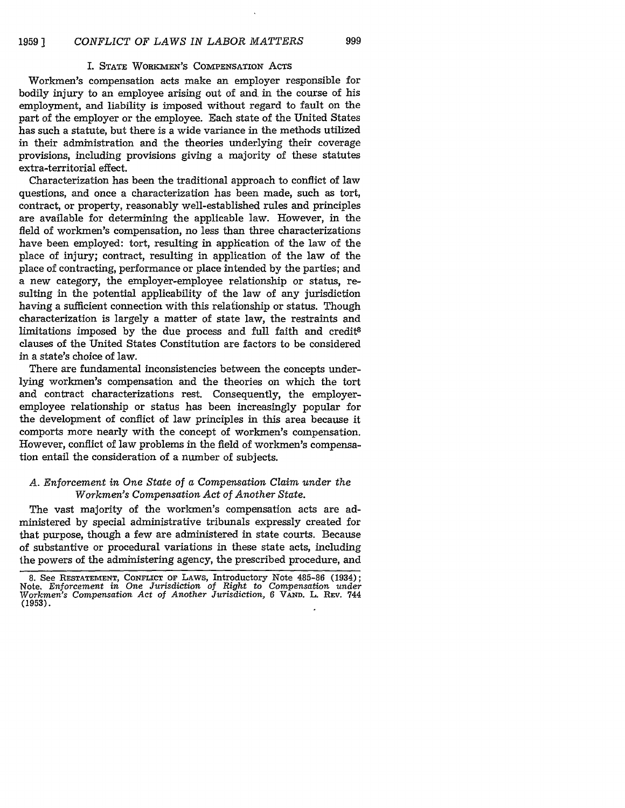#### I. **STATE** WORKMEN'S COMPENSATION **ACTS**

999

Workmen's compensation acts make an employer responsible for bodily injury to an employee arising out of and in the course of his employment, and liability is imposed without regard to fault on the part of the employer or the employee. Each state of the United States has such a statute, but there is a wide variance in the methods utilized in their administration and the theories underlying their coverage provisions, including provisions giving a majority of these statutes extra-territorial effect.

Characterization has been the traditional approach to conflict of law questions, and once a characterization has been made, such as tort, contract, or property, reasonably well-established rules and principles are available for determining the applicable law. However, in the field of workmen's compensation, no less than three characterizations have been employed: tort, resulting in application of the law of the place of injury; contract, resulting in application of the law of the place of contracting, performance or place intended by the parties; and a new category, the employer-employee relationship or status, resulting in the potential applicability of the law of any jurisdiction having a sufficient connection with this relationship or status. Though characterization is largely a matter of state law, the restraints and limitations imposed by the due process and full faith and credit8 clauses of the United States Constitution are factors to be considered in a state's choice of law.

There are fundamental inconsistencies between the concepts underlying workmen's compensation and the theories on which the tort and contract characterizations rest. Consequently, the employeremployee relationship or status has been increasingly popular for the development of conflict of law principles in this area because it comports more nearly with the concept of workmen's compensation. However, conflict of law problems in the field of workmen's compensation entail the consideration of a number of subjects.

### *A. Enforcement in One State of a Compensation Claim under the Workmen's Compensation Act of Another State.*

The vast majority of the workmen's compensation acts are administered by special administrative tribunals expressly created for that purpose, though a few are administered in state courts. Because of substantive or procedural variations in these state acts, including the powers of the administering agency, the prescribed procedure, and

**<sup>8.</sup>** See **RESTATEMENT,** CONFLICT **OF** LAWS, Introductory Note 485-86 (1934); Note, *Enforcement in One Jurisdiction of Right to Compensation under Workmen's Compensation Act of Another Jurisdiction,* <sup>6</sup>**VAND.** L. REV. 744 **(1953).**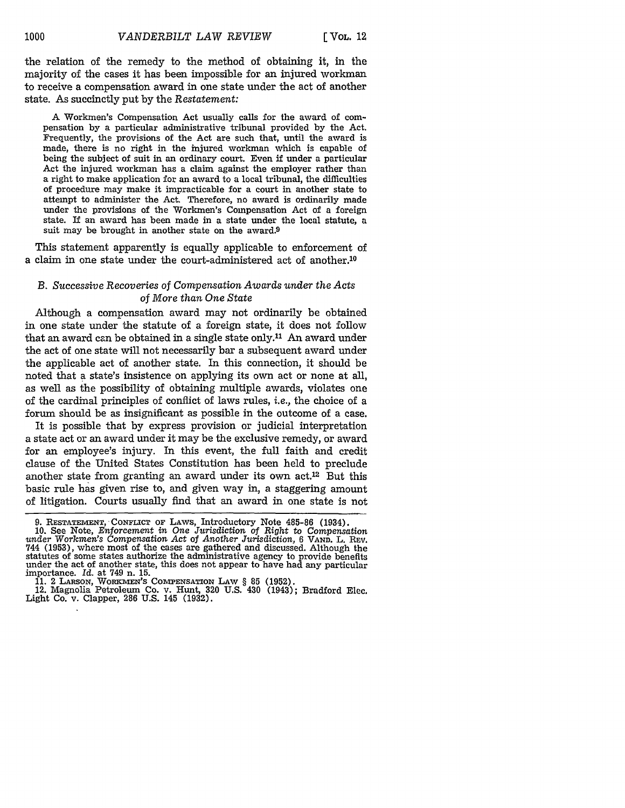the relation of the remedy to the method of obtaining it, in the majority of the cases it has been impossible for an injured workman to receive a compensation award in one state under the act of another state. As succinctly put by the *Restatement:*

**A** Workmen's Compensation Act usually calls for the award of compensation by a particular administrative tribunal provided by the Act. Frequently, the provisions of the Act are such that, until the award is made, there is no right in the injured workman which is capable of being the subject of suit in an ordinary court. Even if under a particular Act the injured workman has a claim against the employer rather than a right to make application for an award to a local tribunal, the difficulties of procedure may make it impracticable for a court in another state to attempt to administer the Act. Therefore, no award is ordinarily made under the provisions of the Workmen's Compensation Act of a foreign state. If an award has been made in a state under the local statute, a suit may be brought in another state on the award.9

This statement apparently is equally applicable to enforcement of a claim in one state under the court-administered act of another.10

## *B. Successive Recoveries* of *Compensation Awards under the Acts of More than One State*

Although a compensation award may not ordinarily be obtained in one state under the statute of a foreign state, it does not follow that an award can be obtained in a single state only.<sup>11</sup> An award under the act of one state will not necessarily bar a subsequent award under the applicable act of another state. In this connection, it should be noted that a state's insistence on applying its own act or none at all, as well as the possibility of obtaining multiple awards, violates one of the cardinal principles of conflict of laws rules, *i.e.,* the choice of a forum should be as insignificant as possible in the outcome of a case.

It is possible that by express provision or judicial interpretation a state act or an award under it may be the exclusive remedy, or award for an employee's injury. In this event, the full faith and credit clause of the United States Constitution has been held to preclude another state from granting an award under its own act.12 But this basic rule has given rise to, and given way in, a staggering amount of litigation. Courts usually find that an award in one state is not

**<sup>9.</sup>** RESTATEMENT, **CONFLICT OF** LAWS, Introductory Note 485-86 (1934). **10.** See Note, *Enforcement in One Jurisdiction of Right* to Compensation

*under Workmen's* Compensation *Act* of *Another Jurisdiction,* 6 VAND. L. REV. 744 (1953), where most of the cases are gathered and discussed. Although the statutes of some states authorize the administrative agency to provide benefits under the act of another state, this does not appear to have had any particular importance. *Id.* at 749 n. 15.

**<sup>11.</sup>** 2 LARSON, WORK-WIN'S COMPENSATION LAW § **85 (1952).** 12. Magnolia Petroleum Co. v. Hunt, 320 U.S. 430 (1943); Bradford Elec. Light Co. v. Clapper, 286 U.S. 145 (1932).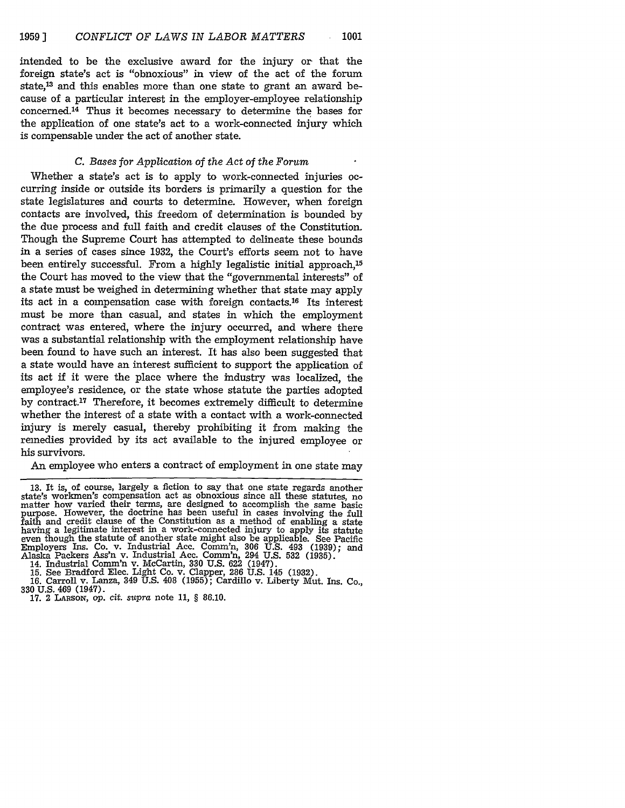intended to be the exclusive award for the injury or that the foreign state's act is "obnoxious" in view of the act of the forum state,13 and this enables more than one state to grant an award because of a particular interest in the employer-employee relationship concerned. 14 Thus it becomes necessary to determine the bases for the application of one state's act to a work-connected injury which is compensable under the act of another state.

### *C. Bases for Application of the Act of the Forum*

Whether a state's act is to apply to work-connected injuries occurring inside or outside its borders is primarily a question for the state legislatures and courts to determine. However, when foreign contacts are involved, this freedom of determination is bounded by the due process and full faith and credit clauses of the Constitution. Though the Supreme Court has attempted to delineate these bounds in a series of cases since 1932, the Court's efforts seem not to have been entirely successful. From a highly legalistic initial approach,<sup>15</sup> the Court has moved to the view that the "governmental interests" of a state must be weighed in determining whether that state may apply its act in a compensation case with foreign contacts. 16 Its interest must be more than casual, and states in which the employment contract was entered, where the injury occurred, and where there was a substantial relationship with the employment relationship have been found to have such an interest. It has also been suggested that a state would have an interest sufficient to support the application of its act if it were the place where the industry was localized, the employee's residence, or the state whose statute the parties adopted by contract.17 Therefore, it becomes extremely difficult to determine whether the interest of a state with a contact with a work-connected injury is merely casual, thereby prohibiting it from making the remedies provided by its act available to the injured employee or his survivors.

An employee who enters a contract of employment in one state may

14. Industrial Comm'n v. McCartin, **330** U.S. 622 (1947).

<sup>13.</sup> It is, of course, largely a fiction to say that one state regards another state's workmen's compensation act as obnoxious since all these statutes, no matter how varied their terms, are designed to accomplish the same basic purpose. However, the doctrine has been useful in cases involving the full faith and credit clause of the Constitution as a method of enabling a state having a legitimate interest in a work-connected injury to apply its statute even though the statute of another state might also be applicable. See Pacific Employers Ins. Co. v. Industrial Acc. Comm'n, 306 U.S. 493 (1939); and Alaska Packers Ass'n v. Industrial Acc. Comm'n, 294 U.S. 532 (1935).

<sup>15.</sup> See Bradford Elec. Light Co. v. Clapper, 286 U.S. 145 (1932).<br>16. Carroll v. Lanza, 349 U.S. 408 (1955); Cardillo v. Liberty Mut. Ins. Co.,

**<sup>330</sup>**U.S. 469 (1947). 17. 2 LARsoN, op. cit. supra note 11, § 86.10.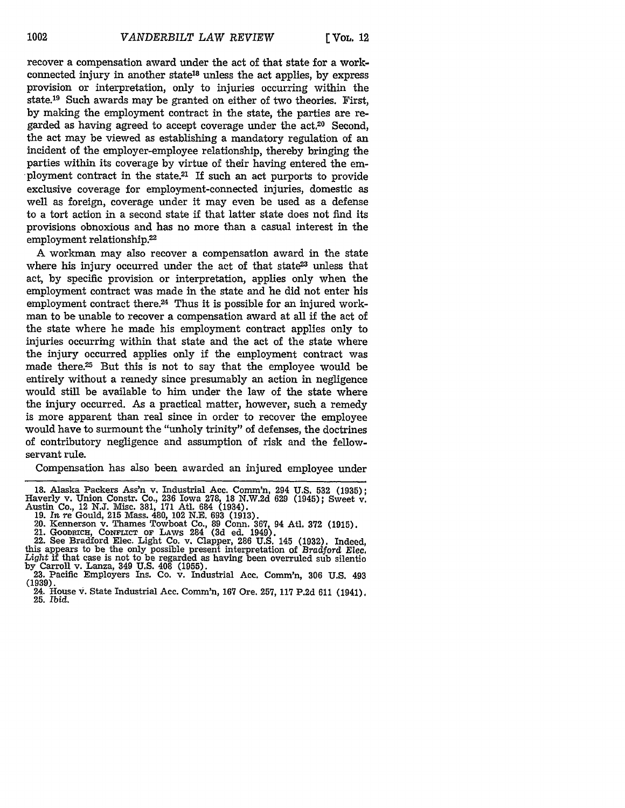recover a compensation award under the act of that state for a workconnected injury in another state18 unless the act applies, by express provision or interpretation, only to injuries occurring within the state.19 Such awards may be granted on either of two theories. First, by making the employment contract in the state, the parties are regarded as having agreed to accept coverage under the act.<sup>20</sup> Second, the act may be viewed as establishing a mandatory regulation of an incident of the employer-employee relationship, thereby bringing the parties within its coverage by virtue of their having entered the employment contract in the state.<sup>21</sup> If such an act purports to provide exclusive coverage for employment-connected injuries, domestic as well as foreign, coverage under it may even be used as a defense to a tort action in a second state if that latter state does not find its provisions obnoxious and has no more than a casual interest in the employment relationship.<sup>22</sup>

A workman may also recover a compensation award in the state where his injury occurred under the act of that state<sup>23</sup> unless that act, by specific provision or interpretation, applies only when the employment contract was made in the state and he did not enter his employment contract there.<sup>24</sup> Thus it is possible for an injured workman to be unable to recover a compensation award at all if the act of the state where he made his employment contract applies only to injuries occurring within that state and the act of the state where the injury occurred applies only if the employment contract was made there.<sup>25</sup> But this is not to say that the employee would be entirely without a remedy since presumably an action in negligence would still be available to him under the law of the state where the injury occurred. As a practical matter, however, such a remedy is more apparent than real since in order to recover the employee would have to surmount the "unholy trinity" of defenses, the doctrines of contributory negligence and assumption of risk and the fellowservant rule.

Compensation has also been awarded an injured employee under

<sup>18.</sup> Alaska Packers Ass'n v. Industrial Acc. Comm'n, 294 U.S. **532** (1935); Haverly v. Union Constr. Co., **236** Iowa 278, 18 N.W.2d 629 (1945); Sweet v.

Austin Co., 12 N.J. Misc. 381, 171 Atl. 684 (1934).<br>19. In re Gould, 215 Mass. 480, 102 N.E. 693 (1913).<br>20. Kennerson v. Thames Towboat Co., 89 Conn. 367, 94 Atl. 372 (1915).<br>21. GOODRICH, CONFLICT OF LAWS 284 (3d ed. 194 by Carroll v. Lanza, 349 U.S. 408 (1955). 23. Pacific Employers Ins. Co. v. Industrial Ace. Comm'n, **306** U.S. 493

<sup>(1939).</sup> 24. House **v.** State Industrial Ace. Comm'n, **167** Ore. 257, **117** P.2d 611 (1941). **25.** *Ibid.*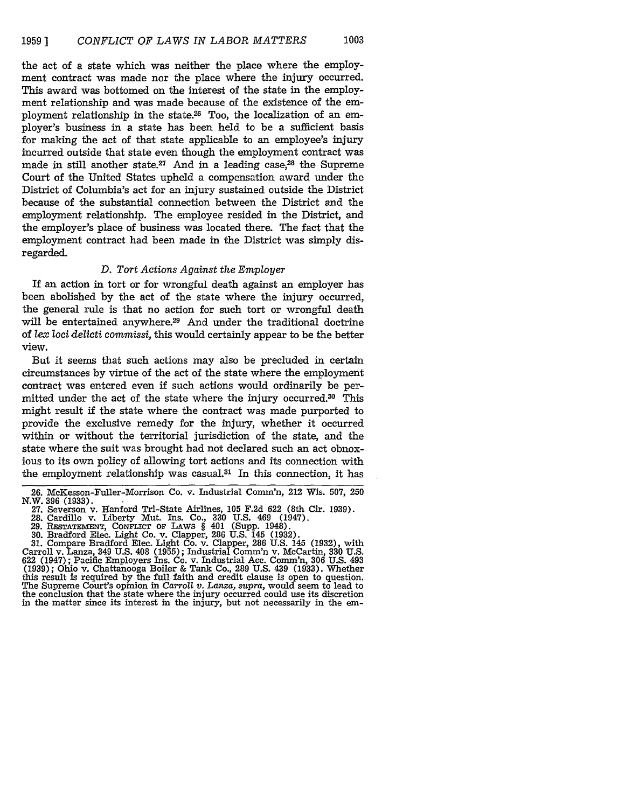the act of a state which was neither the place where the employment contract was made nor the place where the injury occurred. This award was bottomed on the interest of the state in the employment relationship and was made because of the existence of the employment relationship in the state.<sup>26</sup> Too, the localization of an employer's business in a state has been held to be a sufficient basis for making the act of that state applicable to an employee's injury incurred outside that state even though the employment contract was made in still another state.<sup>27</sup> And in a leading case.<sup>28</sup> the Supreme Court of the United States upheld a compensation award under the District of Columbia's act for an injury sustained outside the District because of the substantial connection between the District and the employment relationship. The employee resided in the District, and the employer's place of business was located there. The fact that the employment contract had been made in the District was simply disregarded.

#### *D. Tort Actions Against the Employer*

If an action in tort or for wrongful death against an employer has been abolished by the act of the state where the injury occurred, the general rule is that no action for such tort or wrongful death will be entertained anywhere.<sup>29</sup> And under the traditional doctrine of *lex* loci *delicti commissi,* this would certainly appear to be the better view.

But it seems that such actions may also be precluded in certain circumstances by virtue of the act of the state where the employment contract was entered even if such actions would ordinarily be permitted under the act of the state where the injury occurred.<sup>30</sup> This might result if the state where the contract was made purported to provide the exclusive remedy for the injury, whether it occurred within or without the territorial jurisdiction of the state, and the state where the suit was brought had not declared such an act obnoxious to its own policy of allowing tort actions and its connection with the employment relationship was casual.3' In this connection, it has

**30.** Bradford Elec. Light Co. v. Clapper, 286 U.S. 145 (1932). 31. Compare Bradford Elec. Light Co. v. Clapper, 286 U.S. 145 (1932), with Carroll v. Lanza, 349 U.S. 408 (1955); Industrial Comm'n v. McCartin, 330 U.S. 622 (1947); Pacific Employers Ins. Co. v. Industrial Acc. Comm'n, 306 U.S. 493 (1939); Ohio v. Chattanooga Boiler & Tank Co., 289 U.S. 439 (1933). Whether this result is required by the full faith and credit clause is open to question. The Supreme Court's opinion in Carroll *v. Lanza, supra,* would seem to lead to the conclusion that the state where the injury occurred could use its discretion in the matter since its interest in the injury, but not necessarily in the em-

<sup>26.</sup> McKesson-Fuller-Morrison Co. v. Industrial Comm'n, 212 Wis. 507, 250

N.W. **396** (1933). 27. Severson v. Hanford Tri-State Airlines, 105 F.2d 622 (8th Cir. 1939). **28.** Cardillo v. Liberty Mut. Ins. Co., 330 U.S. 469 (1947).

<sup>29.</sup> **RESTATEMENT, CONFLICT OF** LAws § 401 (Supp. 1948).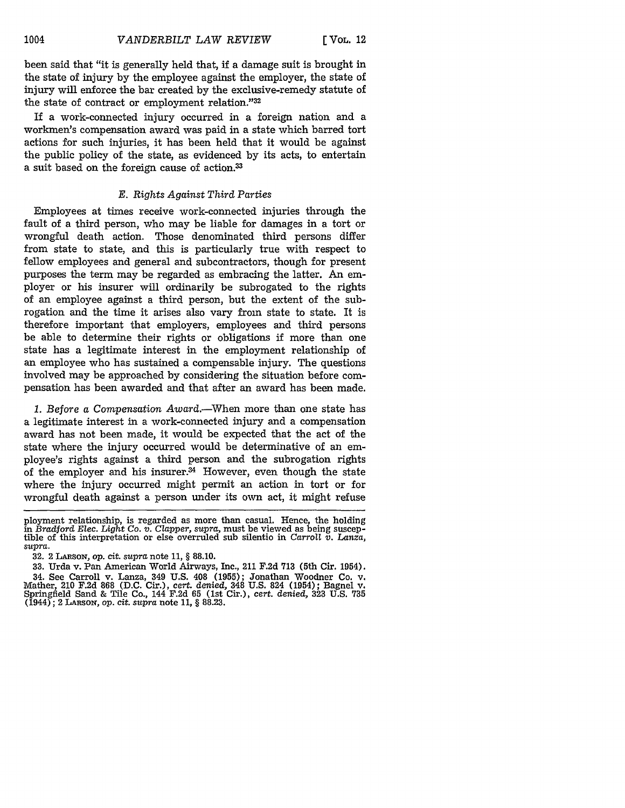been said that "it is generally held that, if a damage suit is brought in the state of injury by the employee against the employer, the state of injury will enforce the bar created by the exclusive-remedy statute of the state of contract or employment relation."32

If a work-connected injury occurred in a foreign nation and a workmen's compensation award was paid in a state which barred tort actions for such injuries, it has been held that it would be against the public policy of the state, as evidenced by its acts, to entertain a suit based on the foreign cause of action.<sup>33</sup>

#### *E. Rights Against Third Parties*

Employees at times receive work-connected injuries through the fault of a third person, who may be liable for damages in a tort or wrongful death action. Those denominated third persons differ from state to state, and this is particularly true with respect to fellow employees and general and subcontractors, though for present purposes the term may be regarded as embracing the latter. An employer or his insurer will ordinarily be subrogated to the rights of an employee against a third person, but the extent of the subrogation and the time it arises also vary from state to state. It is therefore important that employers, employees and third persons be able to determine their rights or obligations if more than one state has a legitimate interest in the employment relationship of an employee who has sustained a compensable injury. The questions involved may be approached by considering the situation before compensation has been awarded and that after an award has been made.

*1. Before a Compensation Award.-When* more than one state has a legitimate interest in a work-connected injury and a compensation award has not been made, it would be expected that the act of the state where the injury occurred would be determinative of an employee's rights against a third person and the subrogation rights of the employer and his insurer.<sup>34</sup> However, even though the state where the injury occurred might permit an action in tort or for wrongful death against a person under its own act, it might refuse

32. 2 LARsox, op. cit. *supra* note 11, § 88.10.

ployment relationship, is regarded as more than casual. Hence, the holding in *Bradford Elec. Light Co. v. Clapper, supra*, must be viewed as being susceptible of this interpretation or else overruled sub silentio in *Car supra.*

<sup>33.</sup> Urda v. Pan American World Airways, Inc., 211 F.2d 713 (5th Cir. 1954). 34. See Carroll v. Lanza, 349 U.S. 408 (1955); Jonathan Woodner Co. v. Mather, 210 F.2d 868 (D.C. Cir.), *cert. denied,* 348 U.S. 824 (1954); Bagnel v. Springfield Sand **&** Tile Co., 144 F.2d 65 (1st Cir.), cert. *denied,* 323 U.S. 735 (1944); 2 LARsoN, op. *cit. supra* note 11, § 88.23.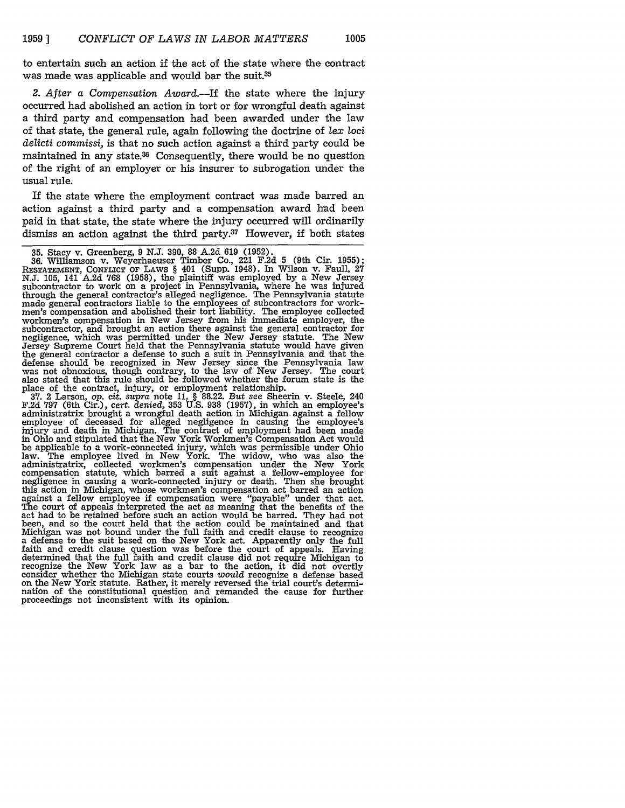to entertain such an action if the act of the state where the contract was made was applicable and would bar the suit.<sup>35</sup>

*2. After a Compensation Award.-If* the state where the injury occurred had abolished an action in tort or for wrongful death against a third party and compensation had been awarded under the law of that state, the general rule, again following the doctrine of *lex* loci *delicti commissi,* is that no such action against a third party could be maintained in any state.<sup>36</sup> Consequently, there would be no question of the right of an employer or his insurer to subrogation under the usual rule.

If the state where the employment contract was made barred an action against a third party and a compensation award had been paid in that state, the state where the injury occurred will ordinarily dismiss an action against the third party.37 However, if both states

36. Williamson v. Weyerhaeuser Timber Co., 221 F.2d **5** (9th Cir. 1955); **RESTATEMENT,** CONFLICT OF LAWS § 401 (Supp. 1948). In Wilson v. Faull, **27 N.J. 105,** 141 **A.2d 768 (1958),** the plaintiff was employed **by** a New Jersey subcontractor to work on a project in Pennsylvania, where he was injured through the general contractor's alleged negligence. The Pennsylvania statute made general contractors liable to the employees of subcontractors for workmen's compensation and abolished their tort liability. The employee collected workmen's compensation in New Jersey from his immediate employer, the subcontractor, and brought an action there against the general contractor for negligence, which was permitted under the New Jersey statute. The New Jersey Supreme Court held that the Pennsylvania statute would have given the general contractor a defense to such a suit in Pennsylvania and that the defense should be recognized in New Jersey since the Pennsylvania law was not obnoxious, though contrary, to the law of New Jersey. The court also stated that this rule should be followed whether the forum state is the

place of the contract, injury, or employment relationship. **37.** 2 Larson, op. *cit. supra* note **11,** § **88.22.** *But* see Sheerin v. Steele, 240 **F.2d 797** (6th Cir.), cert. *denied,* **353 U.S. 938 (1957),** in which an employee's administratrix brought a wrongful death action in Michigan against a fellow employee of deceased for alleged negligence in causing the employee's injury and death in Michigan. The contract of employment had been made in Ohio and stipulated that the New York Workmen's Compensation Act would be applicable to a work-connected injury, which was permissible under Ohio law. The employee lived in New York. The widow, who was also the administratrix, collected workmen's compensation under the New York compensation statute, which barred a suit against a fellow-employee for negligence in causing a work-connected injury or death. Then she brought this action in Michigan, whose workmen's compensation act barred an action against a fellow employee **if** compensation were "payable" under that act. The court of appeals interpreted the act as meaning that the benefits of the act had to be retained before such an action would be barred. They had not been, and so the court held that the action could be maintained and that Michigan was not bound under the full faith and credit clause to recognize a defense to the suit based on the New York act. Apparently only the **full** faith and credit clause question was before the court of appeals. Having determined that the full faith and credit clause did not require Michigan to recognize the New York law as a bar to the action, it did not overtly consider whether the Michigan state courts would recognize a defense based on the New York statute. Rather, it merely reversed the trial court's determion the New York statute. Rather, it merely reversed the trial court's determination of the constitutional question and remanded the cause for further proceedings not inconsistent with its opinion.

**<sup>35.</sup>** Stacy v. Greenberg, 9 N.J. 390, 88 A.2d 619 (1952).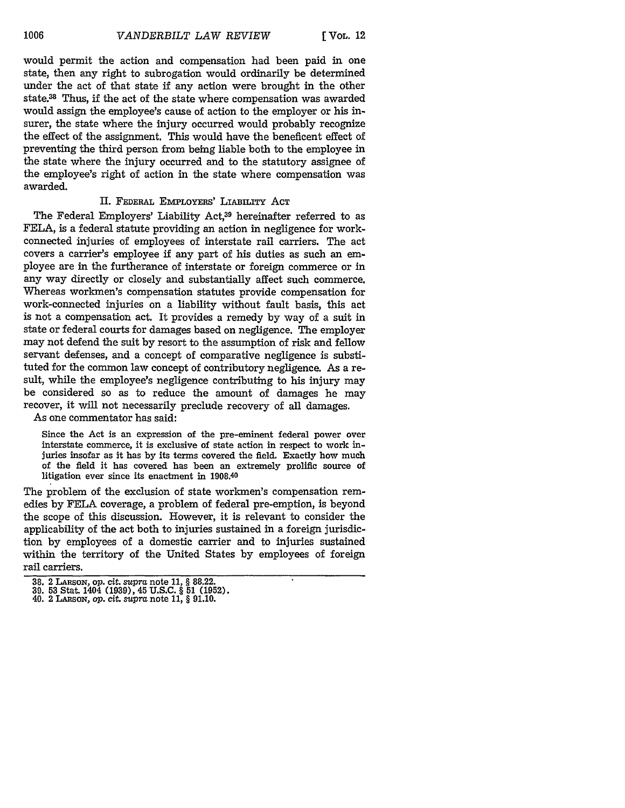would permit the action and compensation had been paid in one state, then any right to subrogation would ordinarily be determined under the act of that state if any action were brought in the other state.38 Thus, **if** the act of the state where compensation was awarded would assign the employee's cause of action to the employer or his insurer, the state where the injury occurred would probably recognize the effect of the assignment. This would have the beneficent effect of preventing the third person from being liable both to the employee in the state where the injury occurred and to the statutory assignee of the employee's right of action in the state where compensation was awarded.

#### II. FEDERAL EMPLOYERS' LIABILITY ACT

The Federal Employers' Liability Act,39 hereinafter referred to as FELA, is a federal statute providing an action in negligence for workconnected injuries of employees of interstate rail carriers. The act covers a carrier's employee if any part of his duties as such an employee are in the furtherance of interstate or foreign commerce or in any way directly or closely and substantially affect such commerce. Whereas workmen's compensation statutes provide compensation for work-connected injuries on a liability without fault basis, this act is not a compensation act. It provides a remedy by way of a suit in state or federal courts for damages based on negligence. The employer may not defend the suit by resort to the assumption of risk and fellow servant defenses, and a concept of comparative negligence is substituted for the common law concept of contributory negligence. As a result, while the employee's negligence contributing to his injury may be considered so as to reduce the amount of damages he may recover, it will not necessarily preclude recovery of all damages.

As one commentator has said:

Since the Act is an expression of the pre-eminent federal power over interstate commerce, it is exclusive of state action in respect to work injuries insofar as it has by its terms covered the field. Exactly how much of the field it has covered has been an extremely prolific source of litigation ever since its enactment in 1908.4o

The problem of the exclusion of state workmen's compensation remedies by **FELA** coverage, a problem of federal pre-emption, is beyond the scope of this discussion. However, it is relevant to consider the applicability of the act both to injuries sustained in a foreign jurisdiction by employees of a domestic carrier and to injuries sustained within the territory of the United States by employees of foreign rail carriers.

**<sup>38.</sup>** 2 **LARSON,** op. cit. supra note **11,** § 88.22. 39. **53** Stat. 1404 (1939), 45 U.S.C. § 51 (1952). 40. 2 LAasoN, op. cit. supra note 11, § 91.10.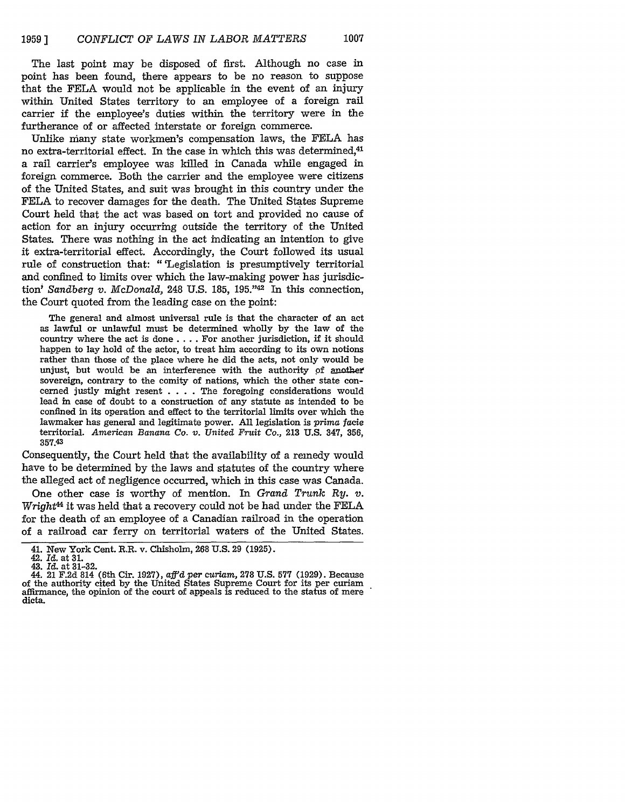The last point may be disposed of first. Although no case in point has been found, there appears to be no reason to suppose that the FELA would not be applicable in the event of an injury within United States territory to an employee of a foreign rail carrier if the employee's duties within the territory were in the furtherance of or affected interstate or foreign commerce.

Unlike many state workmen's compensation laws, the FELA has no extra-territorial effect. In the case in which this was determined,<sup>41</sup> a rail carrier's employee was killed in Canada while engaged in foreign commerce. Both the carrier and the employee were citizens of the United States, and suit was brought in this country under the FELA to recover damages for the death. The United States Supreme Court held that the act was based on tort and provided no cause of action for an injury occurring outside the territory of the United States. There was nothing in the act indicating an intention to give it extra-territorial effect. Accordingly, the Court followed its usual rule of construction that: "'Legislation is presumptively territorial and confined to limits over which the law-making power has jurisdiction' *Sandberg v. McDonald,* 248 U.S. 185, 195."42 In this connection, the Court quoted from the leading case on the point:

The general and almost universal rule is that the character of an act as lawful or unlawful must be determined wholly by the law of the country where the act is done .... For another jurisdiction, if it should happen to lay hold of the actor, to treat him according to its own notions rather than those of the place where he did the acts, not only would be unjust, but would be an interference with the authority of another sovereign, contrary to the comity of nations, which the other state concerned justly might resent . **. .** . The foregoing considerations would lead in case of doubt to a construction of any statute as intended to be confined in its operation and effect to the territorial limits over which the lawmaker has general and legitimate power. All legislation is *prima facie* territorial. *American Banana Co. v. United Fruit Co.,* 213 U.S. 347, 356, **35743**

Consequently, the Court held that the availability of a remedy would have to be determined **by** the laws and statutes of the country where the alleged act of negligence occurred, which in this case was Canada.

One other case is worthy of mention. In *Grand Trunk Ry. v. Wright4* it was held that a recovery could not be had under the **FELA** for the death of an employee of a Canadian railroad in the operation of a railroad car ferry on territorial waters of the United States.

<sup>41.</sup> New York Cent. R.R. v. Chisholm, **268 U.S. 29 (1925).** 42. **Id.** at **31.**

<sup>43.</sup> *Id.* at **31-32.**

<sup>44. 21</sup> **F.2d** 814 (6th Cir. **1927),** affd *per curiam,* **278 U.S. 577 (1929).** Because of the authority cited **by** the United States Supreme Court for its per curiam affirmance, the opinion of the court of appeals is reduced to the status of mere dicta.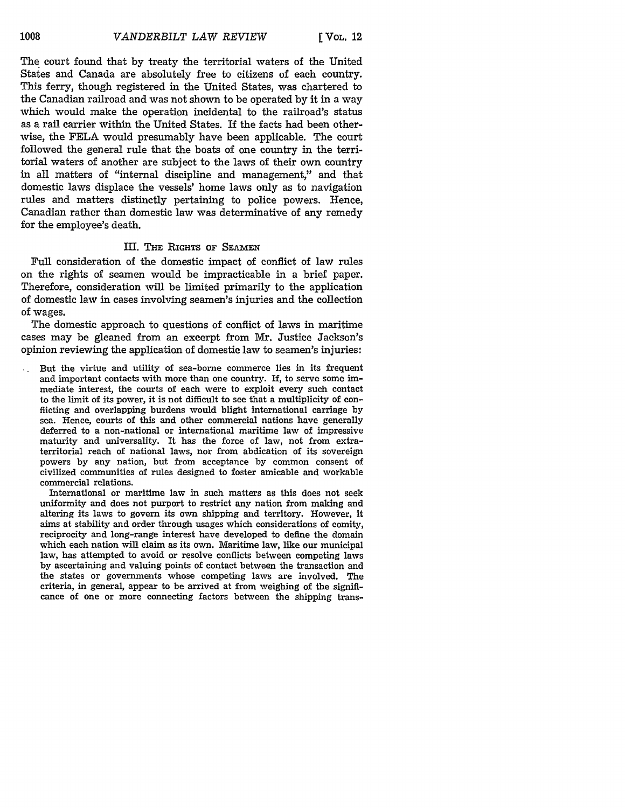The court found that **by** treaty the territorial waters of the United States and Canada are absolutely free to citizens of each country. This ferry, though registered in the United States, was chartered to the Canadian railroad and was not shown to be operated **by** it in a way which would make the operation incidental to the railroad's status as a rail carrier within the United States. If the facts had been otherwise, the **FELA** would presumably have been applicable. The court followed the general rule that the boats of one country in the territorial waters of another are subject to the laws of their own country in all matters of "internal discipline and management," and that domestic laws displace the vessels' home laws only as to navigation rules and matters distinctly pertaining to police powers. Hence, Canadian rather than domestic law was determinative of any remedy for the employee's death.

### III. **THE** RIGHTS **OF SEAMEN**

Full consideration of the domestic impact of conflict of law rules on the rights of seamen would be impracticable in a brief paper. Therefore, consideration will be limited primarily to the application of domestic law in cases involving seamen's injuries and the collection of wages.

The domestic approach to questions of conflict of laws in maritime cases may be gleaned from an excerpt from Mr. Justice Jackson's opinion reviewing the application of domestic law to seamen's injuries:

But the virtue and utility of sea-borne commerce lies in its frequent  $\mathcal{L}_{\rm eff}$ and important contacts with more than one country. If, to serve some immediate interest, the courts of each were to exploit every such contact to the limit of its power, it is not difficult to see that a multiplicity of conflicting and overlapping burdens would blight international carriage by sea. Hence, courts of this and other commercial nations have generally deferred to a non-national or international maritime law of impressive maturity and universality. It has the force of law, not from extraterritorial reach of national laws, nor from abdication of its sovereign powers by any nation, but from acceptance by common consent of civilized communities of rules designed to foster amicable and workable commercial relations.

International or maritime law in such matters as this does not seek uniformity and does not purport to restrict any nation from making and altering its laws to govern its own shipping and territory. However, it aims at stability and order through usages which considerations of comity, reciprocity and long-range interest have developed to define the domain which each nation will claim as its own. Maritime law, like our municipal law, has attempted to avoid or resolve conflicts between competing laws **by** ascertaining and valuing points of contact between the transaction and the states or governments whose competing laws are involved. The criteria, in general, appear to be arrived at from weighing of the signiflcance of one or more connecting factors between the shipping trans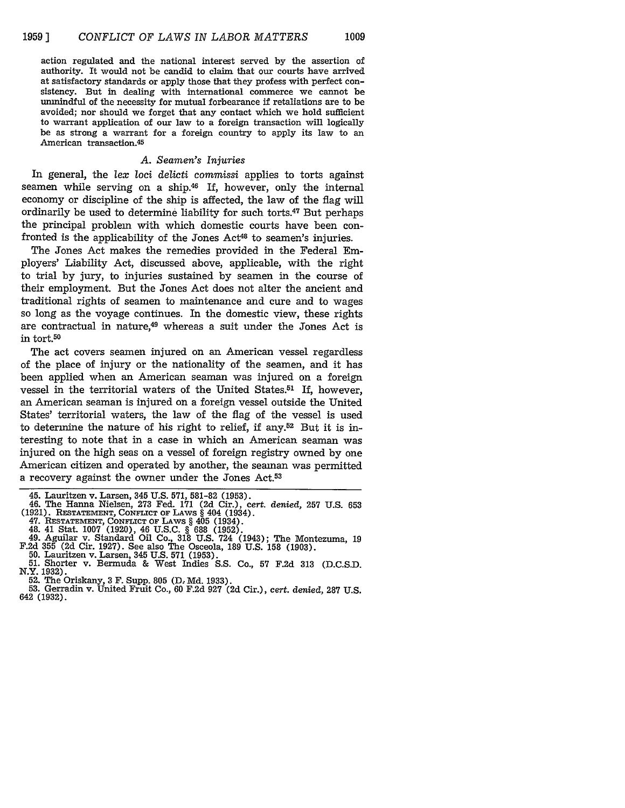action regulated and the national interest served by the assertion of authority. It would not be candid to claim that our courts have arrived at satisfactory standards or apply those that they profess with perfect consistency. But in dealing with international commerce we cannot be unmindful of the necessity for mutual forbearance if retaliations are to be avoided; nor should we forget that any contact which we hold sufficient to warrant application of our law to a foreign transaction will logically be as strong a warrant for a foreign country to apply its law to an American transaction. <sup>45</sup>

#### *A. Seamen's Injuries*

In general, the *lex loci delicti commissi* applies to torts against seamen while serving on a ship.<sup>46</sup> If, however, only the internal economy or discipline of the ship is affected, the law of the flag will ordinarily be used to determine liability for such torts.47 But perhaps the principal problem with which domestic courts have been confronted is the applicability of the Jones  $Act^{48}$  to seamen's injuries.

The Jones Act makes the remedies provided in the Federal Employers' Liability Act, discussed above, applicable, with the right to trial by jury, to injuries sustained by seamen in the course of their employment. But the Jones Act does not alter the ancient and traditional rights of seamen to maintenance and cure and to wages so long as the voyage continues. In the domestic view, these rights are contractual in nature,<sup>49</sup> whereas a suit under the Jones Act is in tort.50

The act covers seamen injured on an American vessel regardless of the place of injury or the nationality of the seamen, and it has been applied when an American seaman was injured on a foreign vessel in the territorial waters of the United States.<sup>51</sup> If, however, an American seaman is injured on a foreign vessel outside the United States' territorial waters, the law of the flag of the vessel is used to determine the nature of his right to relief, if any.<sup>52</sup> But it is interesting to note that in a case in which an American seaman was injured on the high seas on a vessel of foreign registry owned by one American citizen and operated by another, the seaman was permitted a recovery against the owner under the Jones Act.53

- (1921). **RESTATEMENT, CONFLICT OF** LAWS § 404 (1934).
- 
- 
- 47. **RESTATEMENT, CONFLICT OF** LAWS § 405 (1934). 48. 41 Stat. **1007 (1920),** 46 **U.S.C. § 688 (1952). 49.** Aguilar v. Standard Oil Co., **318 U.S.** 724 (1943); The Montezuma, **<sup>19</sup>**
- 
- F.2d 355 (2d Cir. 1927). See also The Osceola, 189 U.S. 158 (1903).<br>50. Lauritzen v. Larsen, 345 U.S. 571 (1953).<br>51. Shorter v. Bermuda & West Indies S.S. Co., 57 F.2d 313 (D.C.S.D.<br>N.Y. 1932).<br>52. The Oriskany, 3 F. Supp
- 
- **53.** Gerradin v. United Fruit Co., **60 F.2d 927 (2d** Cir.), *cert. denied,* **287 U.S.** 642 **(1932).**

<sup>45.</sup> Lauritzen v. Larsen, 345 U.S. 571, 581-82 (1953). 46. The Hanna Nielsen, 273 Fed. 171 (2d Cir.), *cert. denied,* 257 U.S. 653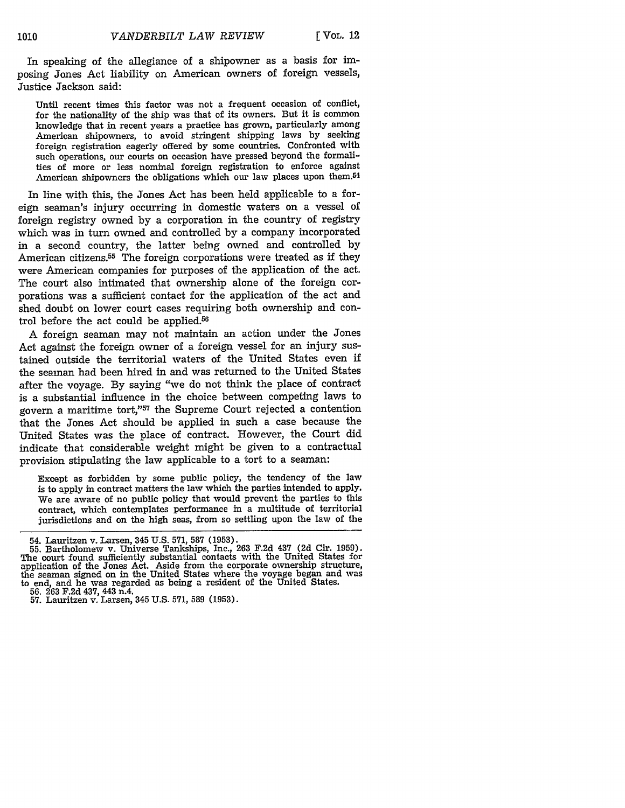In speaking of the allegiance of a shipowner as a basis for imposing Jones Act liability on American owners of foreign vessels, Justice Jackson said:

Until recent times this factor was not a frequent occasion of conflict, for the nationality of the ship was that of its owners. But it is common knowledge that in recent years a practice has grown, particularly among American shipowners, to avoid stringent shipping laws by seeking foreign registration eagerly offered by some countries. Confronted with such operations, our courts on occasion have pressed beyond the formalities of more or less nominal foreign registration to enforce against American shipowners the obligations which our law places upon them.<sup>54</sup>

In line with this, the Jones Act has been held applicable to a foreign seaman's injury occurring in domestic waters on a vessel of foreign registry owned by a corporation in the country of registry which was in turn owned and controlled by a company incorporated in a second country, the latter being owned and controlled by American citizens.<sup>55</sup> The foreign corporations were treated as if they were American companies for purposes of the application of the act. The court also intimated that ownership alone of the foreign corporations was a sufficient contact for the application of the act and shed doubt on lower court cases requiring both ownership and control before the act could be applied.<sup>56</sup>

A foreign seaman may not maintain an action under the Jones Act against the foreign owner of a foreign vessel for an injury sustained outside the territorial waters of the United States even if the seaman had been hired in and was returned to the United States after the voyage. By saying "we do not think the place of contract is a substantial influence in the choice between competing laws to govern a maritime tort,"57 the Supreme Court rejected a contention that the Jones Act should be applied in such a case because the United States was the place of contract. However, the Court did indicate that considerable weight might be given to a contractual provision stipulating the law applicable to a tort to a seaman:

Except as forbidden by some public policy, the tendency of the law is to apply in contract matters the law which the parties intended to apply. We are aware of no public policy that would prevent the parties to this contract, which contemplates performance in a multitude of territorial jurisdictions and on the high seas, from so settling upon the law of the

<sup>54.</sup> Lauritzen v. Larsen, 345 U.S. 571, 587 (1953).

**<sup>55.</sup>** Bartholomew v. Universe Tankships, Inc., **263** F.2d 437 (2d Cir. 1959). The court found sufficiently substantial contacts with the United States for application of the Jones Act. Aside from the corporate ownership structure, the seaman signed on in the United States where the voyage began and was to end, and he was regarded as being a resident of the United States. 56. 263 F.2d 437, 443 n.4.

<sup>57.</sup> Lauritzen v. Larsen, 345 U.S. 571, **589** (1953).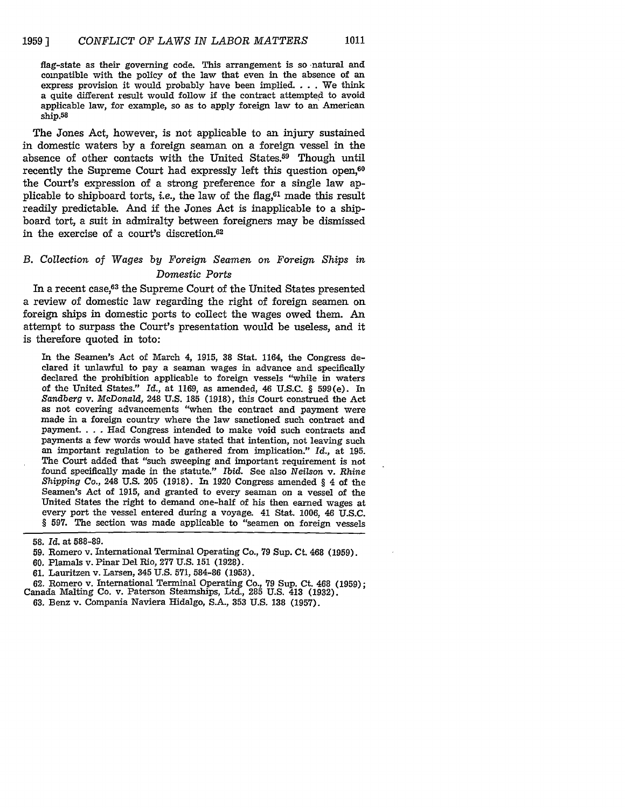flag-state as their governing code. This arrangement is so natural and compatible with the policy of the law that even in the absence of an express provision it would probably have been implied.  $\dots$  We think a quite different result would follow if the contract attempted to avoid applicable law, for example, so as to apply foreign law to an American ship.58

The Jones Act, however, is not applicable to an injury sustained in domestic waters **by** a foreign seaman on a foreign vessel in the absence of other contacts with the United States.59 Though until recently the Supreme Court had expressly left this question open,<sup>60</sup> the Court's expression of a strong preference for a single law applicable to shipboard torts, *i.e.*, the law of the flag, $61$  made this result readily predictable. And **if** the Jones Act is inapplicable to a shipboard tort, a suit in admiralty between foreigners may be dismissed in the exercise of a court's discretion.6

## *B.* Collection *of Wages by Foreign Seamen on Foreign Ships in Domestic Ports*

In a recent case,<sup>63</sup> the Supreme Court of the United States presented a review of domestic law regarding the right of foreign seamen on foreign ships in domestic ports to collect the wages owed them. An attempt to surpass the Court's presentation would be useless, and it is therefore quoted in toto:

In the Seamen's Act of March 4, 1915, **38** Stat. 1164, the Congress declared it unlawful to pay a seaman wages in advance and specifically declared the prohibition applicable to foreign vessels "while in waters of the United States." *Id.,* at 1169, as amended, 46 U.S.C. § 599(e). In *Sandberg* v. *McDonald,* 248 U.S. 185 (1918), this Court construed the Act as not covering advancements "when the contract and payment were made in a foreign country where the law sanctioned such contract and payment. ... Had Congress intended to make void such contracts and payments a few words would have stated that intention, not leaving such an important regulation to be gathered from implication." *Id.,* at 195. The Court added that "such sweeping and important requirement is not found specifically made in the statute." Ibid. See also *Neilson* v. *Rhine Shipping Co.,* 248 U.S. 205 (1918). In 1920 Congress amended § 4 of the Seamen's Act of 1915, and granted to every seaman on a vessel of the United States the right to demand one-half of his then earned wages at every port the vessel entered during a voyage. 41 Stat. 1006, 46 U.S.C. § 597. The section was made applicable to "seamen on foreign vessels

**58. Id.** at **588-89.**

60. Plamals v. Pinar Del Rio, **277** U.S. **151** (1928).

62. Romero v. International Terminal Operating Co., **79** Sup. Ct. 468 (1959); Canada Malting Co. v. Paterson Steamships, Ltd., 285 U.S. 413 (1932).

<sup>59.</sup> Romero v. International Terminal Operating Co., **79** Sup. Ct. 468 (1959).

**<sup>61.</sup>** Lauritzen v. Larsen, 345 U.S. 571, 584-86 (1953).

<sup>63.</sup> Benz v. Compania Naviera Hidalgo, S.A., **353** U.S. **138** (1957).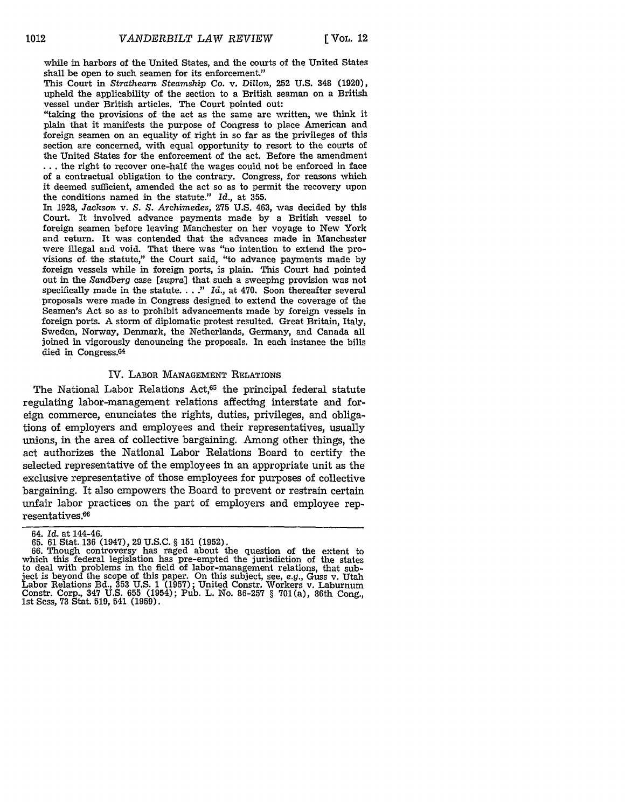while in harbors of the United States, and the courts of the United States shall be open to such seamen for its enforcement."

This Court in *Strathearn Steamship Co.* v. *Dillon,* **252 U.S.** 348 **(1920),** upheld the applicability of the section to a British seaman on a British vessel under British articles. The Court pointed out:

"taking the provisions of the act as the same are written, we think it plain that it manifests the purpose of Congress to place American and foreign seamen on an equality of right in so far as the privileges of this section are concerned, with equal opportunity to resort to the courts of the United States for the enforcement of the act. Before the amendment **•..** the right to recover one-half the wages could not be enforced in face of a contractual obligation to the contrary. Congress, for reasons which it deemed sufficient, amended the act so as to permit the recovery upon the conditions named in the statute." *Id.,* at 355.

In 1928, *Jackson* v. *S. S. Archimedes,* 275 U.S. 463, was decided by this Court. It involved advance payments made by a British vessel to foreign seamen before leaving Manchester on her voyage to New York and return. It was contended that the advances made in Manchester were illegal and void. That there was "no intention to extend the provisions of, the statute," the Court said, "to advance payments made by foreign vessels while in foreign ports, is plain. This Court had pointed out in the *Sandberg* case *[supra]* that such a sweeping provision was not specifically made in the statute **...."** Id., at 470. Soon thereafter several proposals were made in Congress designed to extend the coverage of the Seamen's Act so as to prohibit advancements made by foreign vessels in foreign ports. A storm of diplomatic protest resulted. Great Britain, Italy, Sweden, Norway, Denmark, the Netherlands, Germany, and Canada all joined in vigorously denouncing the proposals. In each instance the bills died in Congress.<sup>64</sup>

#### IV. LABOR **MANAGEMENT** RELATIONS

The National Labor Relations Act,<sup>65</sup> the principal federal statute regulating labor-management relations affecting interstate and foreign commerce, enunciates the rights, duties, privileges, and obligations of employers and employees and their representatives, usually unions, in the area of collective bargaining. Among other things, the act authorizes the National Labor Relations Board to certify the selected representative of the employees in an appropriate unit as the exclusive representative of those employees for purposes of collective bargaining. It also empowers the Board to prevent or restrain certain unfair labor practices on the part of employers and employee representatives.<sup>66</sup>

<sup>64.</sup> *Id.* at 144-46.

**<sup>65.</sup>** 61 Stat. **136** (1947), 29 U.S.C. § 151 (1952). 66. Though controversy has raged about the question of the extent to which this federal legislation has pre-empted the jurisdiction of the states to deal with problems in the field of labor-management relations, that subject is beyond the scope of this paper. On this subject, see, e.g., Guss v. Utah Labor Relations Bd., **353** U.S. **1** (1957); United Constr. Workers v. Laburnum Constr. Corp., 347 U.S. 655 (1954); Pub. L. No. **86-257** § **701** (a), 86th Cong., 1st Sess, **73** Stat. 519, 541 (1959).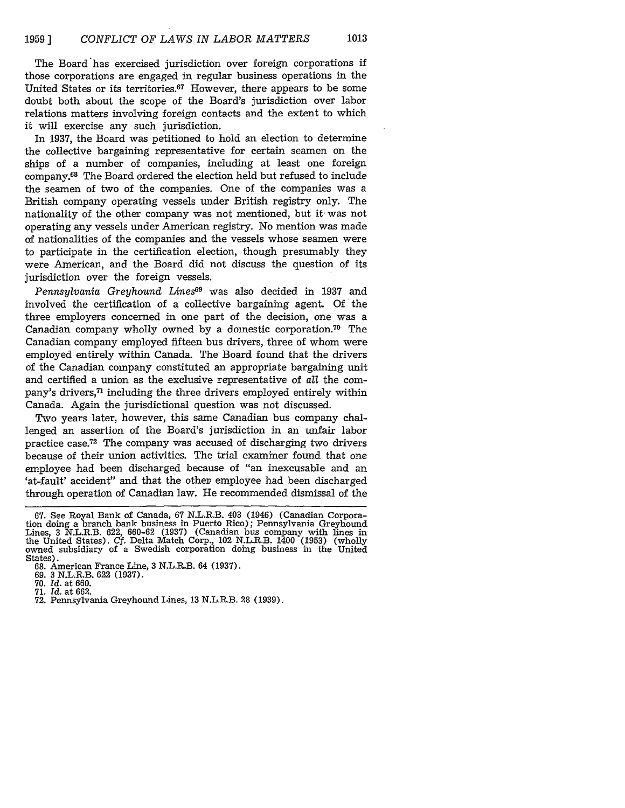The Board has exercised jurisdiction over foreign corporations if those corporations are engaged in regular business operations in the United States or its territories.<sup>67</sup> However, there appears to be some doubt both about the scope of the Board's jurisdiction over labor relations matters involving foreign contacts and the extent to which it will exercise any such jurisdiction.

In 1937, the Board was petitioned to hold an election to determine the collective bargaining representative for certain seamen on the ships of a number of companies, including at least one foreign company. 68 The Board ordered the election held but refused to include the seamen of two of the companies. One of the companies was a British company operating vessels under British registry only. The nationality of the other company was not mentioned, but it was not operating any vessels under American registry. No mention was made of nationalities of the companies and the vessels whose seamen were to participate in the certification election, though presumably they were American, and the Board did not discuss the question of its jurisdiction over the foreign vessels.

*Pennsylvania Greyhound Lines69* was also decided in 1937 and involved the certification of a collective bargaining agent. Of the three employers concerned in one part of the decision, one was a Canadian company wholly owned by a domestic corporation.<sup>70</sup> The Canadian company employed fifteen bus drivers, three of whom were employed entirely within Canada. The Board found that the drivers of the Canadian company constituted an appropriate bargaining unit and certified a union as the exclusive representative of *all* the company's drivers,71 including the three drivers employed entirely within Canada. Again the jurisdictional question was not discussed.

Two years later, however, this same Canadian bus company challenged an assertion of the Board's jurisdiction in an unfair labor practice case.72 The company was accused of discharging two drivers because of their union activities. The trial examiner found that one employee had been discharged because of "an inexcusable and an 'at-fault' accident" and that the other employee had been discharged through operation of Canadian law. He recommended dismissal of the

<sup>67.</sup> See Royal Bank of Canada, 67 N.L.R.B. 403 (1946) (Canadian Corpora- tion doing a branch bank business in Puerto Rico); Pennsylvania Greyhound Lines, 3 N.L.R.B. 622, 660-62 (1937) (Canadian bus company with lines in the United States). **Cf.** Delta Match Corp., 102 N.L.R.B. 1400 (1953) (wholly owned subsidiary of a Swedish corporation doing business in the United States).

<sup>68.</sup> American France Line, 3 N.L.R.B. 64 (1937). 69. 3 N.L.R.B. 622 (1937).

<sup>70.</sup> *Id.* at 660.

<sup>71.</sup> Id. at 662.

<sup>72.</sup> Pennsylvania Greyhound Lines, 13 N.L.R.B. 28 (1939).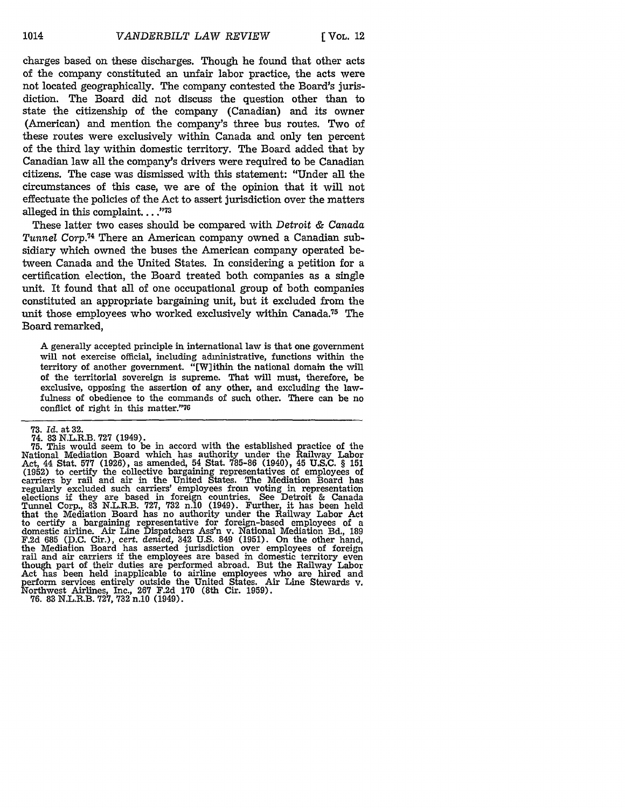charges based on these discharges. Though he found that other acts of the company constituted an unfair labor practice, the acts were not located geographically. The company contested the Board's jurisdiction. The Board did not discuss the question other than to state the citizenship of the company (Canadian) and its owner (American) and mention the company's three bus routes. Two of these routes were exclusively within Canada and only ten percent of the third lay within domestic territory. The Board added that **by** Canadian law all the company's drivers were required to be Canadian citizens. The case was dismissed with this statement: "Under all the circumstances of this case, we are of the opinion that it will not effectuate the policies of the Act to assert jurisdiction over the matters alleged in this complaint. . . . "<sup>73</sup>

These latter two cases should be compared with Detroit & Canada Tunnel Corp.<sup>74</sup> There an American company owned a Canadian subsidiary which owned the buses the American company operated between Canada and the United States. In considering a petition for a certification election, the Board treated both companies as a single unit. It found that all of one occupational group of both companies constituted an appropriate bargaining unit, but it excluded from the unit those employees who worked exclusively within Canada.75 The Board remarked,

A generally accepted principle in international law is that one government will not exercise official, including administrative, functions within the territory of another government. "[W]ithin the national domain the will of the territorial sovereign is supreme. That will must, therefore, be exclusive, opposing the assertion of any other, and excluding the lawfulness of obedience to the commands of such other. There can be no conflict of right in this matter."76

**<sup>73.</sup>** *Id.* at **32.**

<sup>74. 83</sup> N.L.R.B. **727** (1949). **75.** This would seem to be in accord with the established practice of the National Mediation Board which has authority under the Railway Labor Act, 44 Stat. 577 (1926), as amended, 54 Stat. 785-86 (1940), 45 U.S.C. § **151** (1952) to certify the collective bargaining representatives of employees of carriers by rail and air in the United States. The Mediation Board has regularly excluded such carriers' employees from voting in representation elections if they are based in foreign countries. See Detroit & Canada Tunnel Corp., 83 N.L.R.B. 727, 732 n.10 (1949). Further, it has been held that the Mediation Board has no authority under the Railway Labor Act to certify a bargaining representative for foreign-based employees of a domestic airline. Air Line Dispatchers Ass'n v. National Mediation Bd., 189 F.2d 685 (D.C. Cir.), cert. denied, 342 U.S. 849 (1951). On the other hand, the Mediation Board has asserted jurisdiction over employees of foreign rail and air carriers if the employees are based in domestic territory even though part of their duties are performed abroad. But the Railway Labor Act has been held inapplicable to airline employees who are hired and perform services entirely outside the United States. Air Line Stewards v. perform services entirely outside the United States. Air Line Stewards v. Northwest Airlines, Inc., **267** F.2d 170 (8th Cir. 1959). **76.** 83 N.L.R.B. 727, 732 n.10 (1949).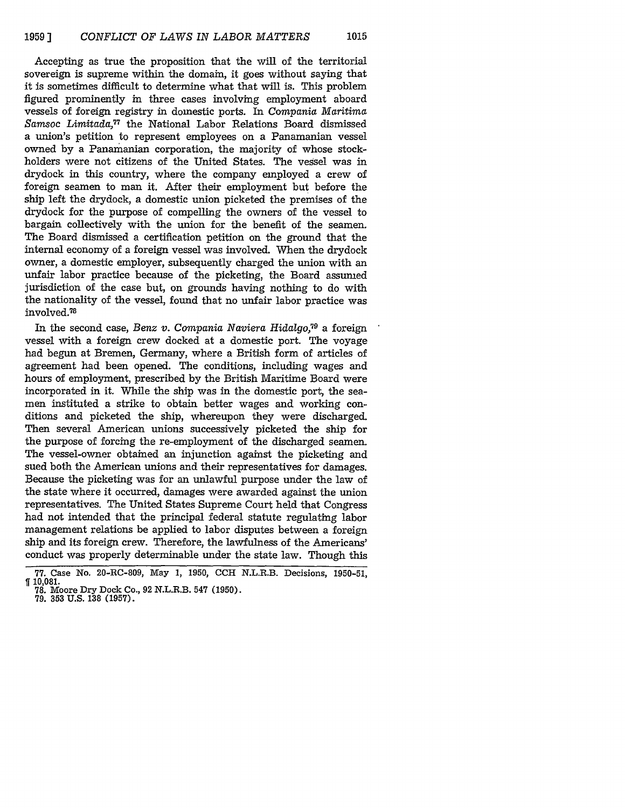Accepting as true the proposition that the will of the territorial sovereign is supreme within the domain, it goes without saying that it is sometimes difficult to determine what that will is. This problem figured prominently in three cases involving employment aboard vessels of foreign registry in domestic ports. In Compania Maritima *Samsoc Limitada,77* the National Labor Relations Board dismissed a union's petition to represent employees on a Panamanian vessel owned by a Panamanian corporation, the majority of whose stockholders were not citizens of the United States. The vessel was in drydock in this country, where the company employed a crew of foreign seamen to man it. After their employment but before the ship left the drydock, a domestic union picketed the premises of the drydock for the purpose of compelling the owners of the vessel to bargain collectively with the union for the benefit of the seamen. The Board dismissed a certification petition on the ground that the internal economy of a foreign vessel was involved. When the drydock owner, a domestic employer, subsequently charged the union with an unfair labor practice because of the picketing, the Board assumed jurisdiction of the case but, on grounds having nothing to do with the nationality of the vessel, found that no unfair labor practice was involved.<sup>78</sup>

In the second case, *Benz v. Compania Naviera Hidalgo, <sup>9</sup>*a foreign vessel with a foreign crew docked at a domestic port. The voyage had begun at Bremen, Germany, where a British form of articles of agreement had been opened. The conditions, including wages and hours of employment, prescribed by the British Maritime Board were incorporated in it. While the ship was in the domestic port, the seamen instituted a strike to obtain better wages and working conditions and picketed the ship, whereupon they were discharged. Then several American unions successively picketed the ship for the purpose of forcing the re-employment of the discharged seamen. The vessel-owner obtained an injunction against the picketing and sued both the American unions and their representatives for damages. Because the picketing was for an unlawful purpose under the law of the state where it occurred, damages were awarded against the union representatives. The United States Supreme Court held that Congress had not intended that the principal federal statute regulating labor management relations be applied to labor disputes between a foreign ship and its foreign crew. Therefore, the lawfulness of the Americans' conduct was properly determinable under the state law. Though this

<sup>77.</sup> Case No. 20-RC-809, May **1,** 1950, **CCH** N.L.R.B. Decisions, **1950-51, ff 10,081.** 78. Moore Dry Dock Co., **92** N.L.R.B. 547 (1950). 79. **353** U.S. 138 **(1957).**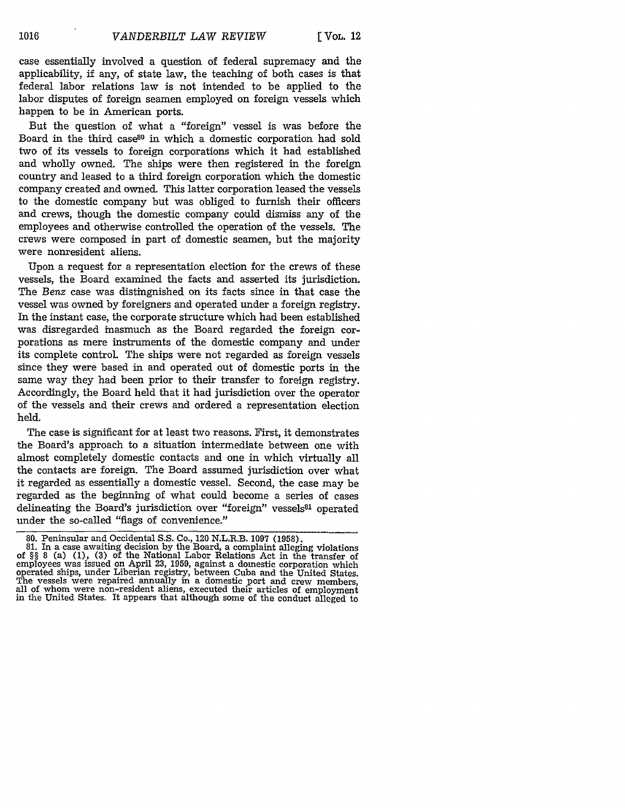case essentially involved a question of federal supremacy and the applicability, if any, of state law, the teaching of both cases is that federal labor relations law is not intended to be applied to the labor disputes of foreign seamen employed on foreign vessels which happen to be in American ports.

But the question of what a "foreign" vessel is was before the Board in the third case80 in which a domestic corporation had sold two of its vessels to foreign corporations which it had established and wholly owned. The ships were then registered in the foreign country and leased to a third foreign corporation which the domestic company created and owned. This latter corporation leased the vessels to the domestic company but was obliged to furnish their officers and crews, though the domestic company could dismiss any of the employees and otherwise controlled the operation of the vessels. The crews were composed in part of domestic seamen, but the majority were nonresident aliens.

Upon a request for a representation election for the crews of these vessels, the Board examined the facts and asserted its jurisdiction. The Benz case was distingnished on its facts since in that case the vessel was owned by foreigners and operated under a foreign registry. In the instant case, the corporate structure which had been established was disregarded inasmuch as the Board regarded the foreign corporations as mere instruments of the domestic company and under its complete control. The ships were not regarded as foreign vessels since they were based in and operated out of domestic ports in the same way they had been prior to their transfer to foreign registry. Accordingly, the Board held that it had jurisdiction over the operator of the vessels and their crews and ordered a representation election held.

The case is significant for at least two reasons. First, it demonstrates the Board's approach to a situation intermediate between one with almost completely domestic contacts and one in which virtually all the contacts are foreign. The Board assumed jurisdiction over what it regarded as essentially a domestic vessel. Second, the case may be regarded as the beginning of what could become a series of cases delineating the Board's jurisdiction over "foreign" vessels<sup>81</sup> operated under the so-called "flags of convenience."

<sup>80.</sup> Peninsular and Occidental **S.S.** Co., 120 N.L.R.B. **1097 (1958).** 81. In a case awaiting decision by the Board, a complaint alleging violations of *§§* 8 (a) (1), **(3)** of the National Labor Relations Act in the transfer of employees was issued on April 23, 1959, against a domestic corporation which operated ships, under Liberian registry, between Cuba and the United States. The vessels were repaired annually in a domestic port and crew members, all of whom were non-resident aliens, executed their articles of employment in the United States. It appears that although some of the conduct alleged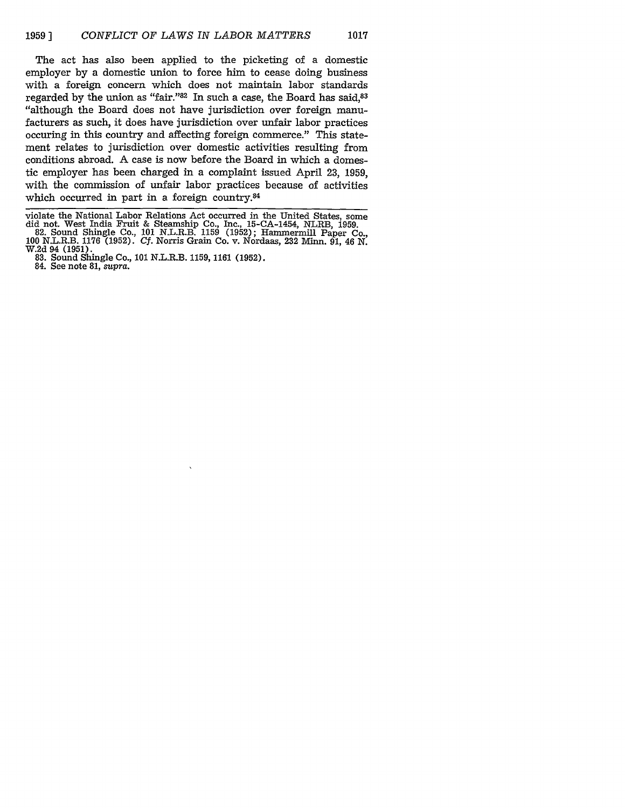The act has also been applied to the picketing of a domestic employer by a domestic union to force him to cease doing business with a foreign concern which does not maintain labor standards regarded by the union as "fair."<sup>82</sup> In such a case, the Board has said,<sup>83</sup> "although the Board does not have jurisdiction over foreign manufacturers as such, it does have jurisdiction over unfair labor practices occuring in this country and affecting foreign commerce." This statement relates to jurisdiction over domestic activities resulting from conditions abroad. A case is now before the Board in which a domestic employer has been charged in a complaint issued April 23, 1959, with the commission of unfair labor practices because of activities which occurred in part in a foreign country.84

violate the National Labor Relations Act occurred in the United States, some did not. West India Fruit & Steamship Co., Inc., 15-CA-1454, NLRB, 1959. 82. Sound Shingle Co., **101** N.L.R.B. 1159 (1952); Hammermill Paper Co.,

**<sup>100</sup>** N.L.R.B. 1176 (1952). *Cf.* Norris Grain Co. v. Nordaas, 232 Minn. 91, 46 N. W.2d 94 (1951). 83. Sound Shingle Co., **101** N.L.R.B. 1159, 1161 (1952). 84. See note 81, *supra.*